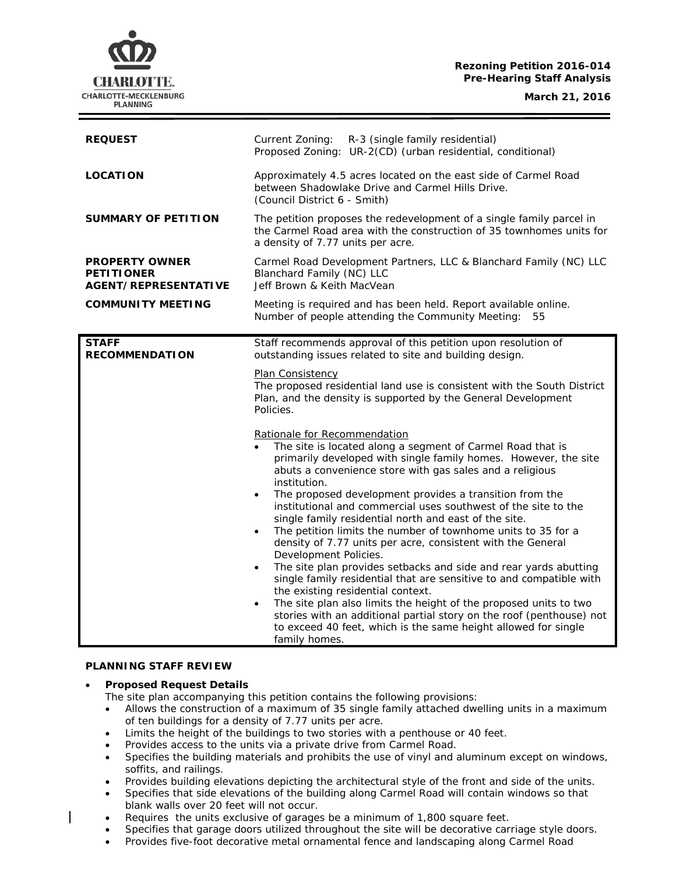## **Rezoning Petition 2016-014 Pre-Hearing Staff Analysis**

CHARLOTTE. CHARLOTTE-MECKLENBURG **PLANNING** 

**March 21, 2016**

| <b>REQUEST</b>                                                            | Current Zoning: R-3 (single family residential)<br>Proposed Zoning: UR-2(CD) (urban residential, conditional)                                                                                                                                                                                                                                                                                                                                                                                                                                                                                                                                                                                                                                                                                                                                                                                                                                                                                                                                                                                                                                                                                                                                                                                                                                                        |  |
|---------------------------------------------------------------------------|----------------------------------------------------------------------------------------------------------------------------------------------------------------------------------------------------------------------------------------------------------------------------------------------------------------------------------------------------------------------------------------------------------------------------------------------------------------------------------------------------------------------------------------------------------------------------------------------------------------------------------------------------------------------------------------------------------------------------------------------------------------------------------------------------------------------------------------------------------------------------------------------------------------------------------------------------------------------------------------------------------------------------------------------------------------------------------------------------------------------------------------------------------------------------------------------------------------------------------------------------------------------------------------------------------------------------------------------------------------------|--|
| <b>LOCATION</b>                                                           | Approximately 4.5 acres located on the east side of Carmel Road<br>between Shadowlake Drive and Carmel Hills Drive.<br>(Council District 6 - Smith)                                                                                                                                                                                                                                                                                                                                                                                                                                                                                                                                                                                                                                                                                                                                                                                                                                                                                                                                                                                                                                                                                                                                                                                                                  |  |
| <b>SUMMARY OF PETITION</b>                                                | The petition proposes the redevelopment of a single family parcel in<br>the Carmel Road area with the construction of 35 townhomes units for<br>a density of 7.77 units per acre.                                                                                                                                                                                                                                                                                                                                                                                                                                                                                                                                                                                                                                                                                                                                                                                                                                                                                                                                                                                                                                                                                                                                                                                    |  |
| <b>PROPERTY OWNER</b><br><b>PETITIONER</b><br><b>AGENT/REPRESENTATIVE</b> | Carmel Road Development Partners, LLC & Blanchard Family (NC) LLC<br>Blanchard Family (NC) LLC<br>Jeff Brown & Keith MacVean                                                                                                                                                                                                                                                                                                                                                                                                                                                                                                                                                                                                                                                                                                                                                                                                                                                                                                                                                                                                                                                                                                                                                                                                                                         |  |
| <b>COMMUNITY MEETING</b>                                                  | Meeting is required and has been held. Report available online.<br>Number of people attending the Community Meeting:<br>55                                                                                                                                                                                                                                                                                                                                                                                                                                                                                                                                                                                                                                                                                                                                                                                                                                                                                                                                                                                                                                                                                                                                                                                                                                           |  |
| <b>STAFF</b><br><b>RECOMMENDATION</b>                                     | Staff recommends approval of this petition upon resolution of<br>outstanding issues related to site and building design.<br>Plan Consistency<br>The proposed residential land use is consistent with the South District<br>Plan, and the density is supported by the General Development<br>Policies.<br>Rationale for Recommendation<br>The site is located along a segment of Carmel Road that is<br>primarily developed with single family homes. However, the site<br>abuts a convenience store with gas sales and a religious<br>institution.<br>The proposed development provides a transition from the<br>$\bullet$<br>institutional and commercial uses southwest of the site to the<br>single family residential north and east of the site.<br>The petition limits the number of townhome units to 35 for a<br>$\bullet$<br>density of 7.77 units per acre, consistent with the General<br>Development Policies.<br>The site plan provides setbacks and side and rear yards abutting<br>$\bullet$<br>single family residential that are sensitive to and compatible with<br>the existing residential context.<br>The site plan also limits the height of the proposed units to two<br>$\bullet$<br>stories with an additional partial story on the roof (penthouse) not<br>to exceed 40 feet, which is the same height allowed for single<br>family homes. |  |

#### **PLANNING STAFF REVIEW**

## • **Proposed Request Details**

The site plan accompanying this petition contains the following provisions:

- Allows the construction of a maximum of 35 single family attached dwelling units in a maximum of ten buildings for a density of 7.77 units per acre.
- Limits the height of the buildings to two stories with a penthouse or 40 feet.
- Provides access to the units via a private drive from Carmel Road.
- Specifies the building materials and prohibits the use of vinyl and aluminum except on windows, soffits, and railings.
- Provides building elevations depicting the architectural style of the front and side of the units.
- Specifies that side elevations of the building along Carmel Road will contain windows so that blank walls over 20 feet will not occur.
- Requires the units exclusive of garages be a minimum of 1,800 square feet.
- Specifies that garage doors utilized throughout the site will be decorative carriage style doors.
- Provides five-foot decorative metal ornamental fence and landscaping along Carmel Road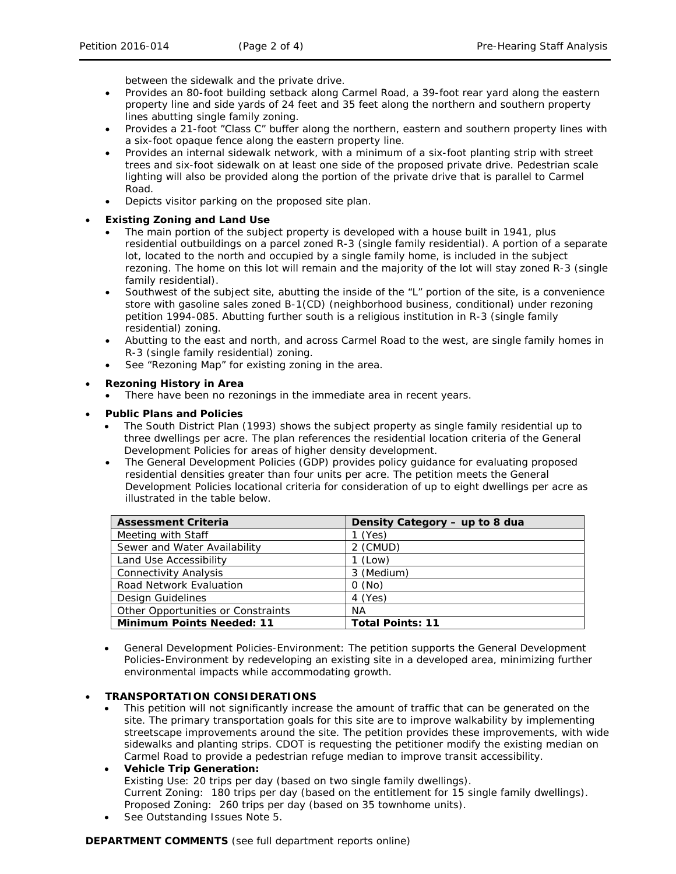between the sidewalk and the private drive.

- Provides an 80-foot building setback along Carmel Road, a 39-foot rear yard along the eastern property line and side yards of 24 feet and 35 feet along the northern and southern property lines abutting single family zoning.
- Provides a 21-foot "Class C" buffer along the northern, eastern and southern property lines with a six-foot opaque fence along the eastern property line.
- Provides an internal sidewalk network, with a minimum of a six-foot planting strip with street trees and six-foot sidewalk on at least one side of the proposed private drive. Pedestrian scale lighting will also be provided along the portion of the private drive that is parallel to Carmel Road.
- Depicts visitor parking on the proposed site plan.

## • **Existing Zoning and Land Use**

- The main portion of the subject property is developed with a house built in 1941, plus residential outbuildings on a parcel zoned R-3 (single family residential). A portion of a separate lot, located to the north and occupied by a single family home, is included in the subject rezoning. The home on this lot will remain and the majority of the lot will stay zoned R-3 (single family residential).
- Southwest of the subject site, abutting the inside of the "L" portion of the site, is a convenience store with gasoline sales zoned B-1(CD) (neighborhood business, conditional) under rezoning petition 1994-085. Abutting further south is a religious institution in R-3 (single family residential) zoning.
- Abutting to the east and north, and across Carmel Road to the west, are single family homes in R-3 (single family residential) zoning.
- See "Rezoning Map" for existing zoning in the area.

## • **Rezoning History in Area**

• There have been no rezonings in the immediate area in recent years.

## • **Public Plans and Policies**

- The *South District Plan* (1993) shows the subject property as single family residential up to three dwellings per acre. The plan references the residential location criteria of the *General Development Policies* for areas of higher density development.
- The *General Development Policies* (GDP) provides policy guidance for evaluating proposed residential densities greater than four units per acre. The petition meets the General Development Policies locational criteria for consideration of up to eight dwellings per acre as illustrated in the table below.

| <b>Assessment Criteria</b>         | Density Category - up to 8 dua |
|------------------------------------|--------------------------------|
| Meeting with Staff                 | $1$ (Yes)                      |
| Sewer and Water Availability       | 2 (CMUD)                       |
| Land Use Accessibility             | $1$ (Low)                      |
| <b>Connectivity Analysis</b>       | 3 (Medium)                     |
| Road Network Evaluation            | O(No)                          |
| Design Guidelines                  | 4 (Yes)                        |
| Other Opportunities or Constraints | ΝA                             |
| <b>Minimum Points Needed: 11</b>   | <b>Total Points: 11</b>        |

• *General Development Policies-Environment:* The petition supports the *General Development Policies-Environment* by redeveloping an existing site in a developed area, minimizing further environmental impacts while accommodating growth.

# • **TRANSPORTATION CONSIDERATIONS**

- This petition will not significantly increase the amount of traffic that can be generated on the site. The primary transportation goals for this site are to improve walkability by implementing streetscape improvements around the site. The petition provides these improvements, with wide sidewalks and planting strips. CDOT is requesting the petitioner modify the existing median on Carmel Road to provide a pedestrian refuge median to improve transit accessibility.
- **Vehicle Trip Generation:** Existing Use: 20 trips per day (based on two single family dwellings). Current Zoning: 180 trips per day (based on the entitlement for 15 single family dwellings). Proposed Zoning: 260 trips per day (based on 35 townhome units).
- See Outstanding Issues Note 5.

#### **DEPARTMENT COMMENTS** (see full department reports online)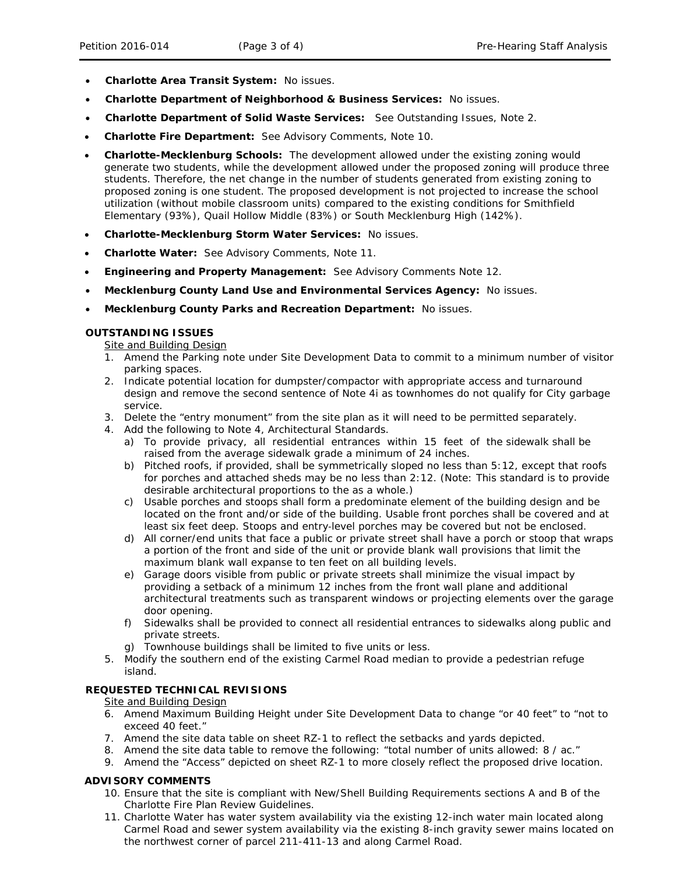- **Charlotte Area Transit System:** No issues.
- **Charlotte Department of Neighborhood & Business Services:** No issues.
- **Charlotte Department of Solid Waste Services:** See Outstanding Issues, Note 2.
- **Charlotte Fire Department:** See Advisory Comments, Note 10.
- **Charlotte-Mecklenburg Schools:** The development allowed under the existing zoning would generate two students, while the development allowed under the proposed zoning will produce three students. Therefore, the net change in the number of students generated from existing zoning to proposed zoning is one student. The proposed development is not projected to increase the school utilization (without mobile classroom units) compared to the existing conditions for Smithfield Elementary (93%), Quail Hollow Middle (83%) or South Mecklenburg High (142%).
- **Charlotte-Mecklenburg Storm Water Services:** No issues.
- **Charlotte Water:** See Advisory Comments, Note 11.
- **Engineering and Property Management:** See Advisory Comments Note 12.
- **Mecklenburg County Land Use and Environmental Services Agency:** No issues.
- **Mecklenburg County Parks and Recreation Department:** No issues.

## **OUTSTANDING ISSUES**

**Site and Building Design** 

- 1. Amend the Parking note under Site Development Data to commit to a minimum number of visitor parking spaces.
- 2. Indicate potential location for dumpster/compactor with appropriate access and turnaround design and remove the second sentence of Note 4i as townhomes do not qualify for City garbage service.
- 3. Delete the "entry monument" from the site plan as it will need to be permitted separately.
- 4. Add the following to Note 4, Architectural Standards.
	- a) To provide privacy, all residential entrances within 15 feet of the sidewalk shall be raised from the average sidewalk grade a minimum of 24 inches.
	- b) Pitched roofs, if provided, shall be symmetrically sloped no less than 5:12, except that roofs for porches and attached sheds may be no less than 2:12. (Note: This standard is to provide desirable architectural proportions to the as a whole.)
	- c) Usable porches and stoops shall form a predominate element of the building design and be located on the front and/or side of the building. Usable front porches shall be covered and at least six feet deep. Stoops and entry-level porches may be covered but not be enclosed.
	- d) All corner/end units that face a public or private street shall have a porch or stoop that wraps a portion of the front and side of the unit or provide blank wall provisions that limit the maximum blank wall expanse to ten feet on all building levels.
	- e) Garage doors visible from public or private streets shall minimize the visual impact by providing a setback of a minimum 12 inches from the front wall plane and additional architectural treatments such as transparent windows or projecting elements over the garage door opening.
	- f) Sidewalks shall be provided to connect all residential entrances to sidewalks along public and private streets.
	- g) Townhouse buildings shall be limited to five units or less.
- 5. Modify the southern end of the existing Carmel Road median to provide a pedestrian refuge island.

# **REQUESTED TECHNICAL REVISIONS**

#### Site and Building Design

- 6. Amend Maximum Building Height under Site Development Data to change "or 40 feet" to "not to exceed 40 feet."
- 7. Amend the site data table on sheet RZ-1 to reflect the setbacks and yards depicted.
- 8. Amend the site data table to remove the following: "total number of units allowed: 8 / ac."
- 9. Amend the "Access" depicted on sheet RZ-1 to more closely reflect the proposed drive location.

# **ADVISORY COMMENTS**

- 10. Ensure that the site is compliant with New/Shell Building Requirements sections A and B of the Charlotte Fire Plan Review Guidelines.
- 11. Charlotte Water has water system availability via the existing 12-inch water main located along Carmel Road and sewer system availability via the existing 8-inch gravity sewer mains located on the northwest corner of parcel 211-411-13 and along Carmel Road.